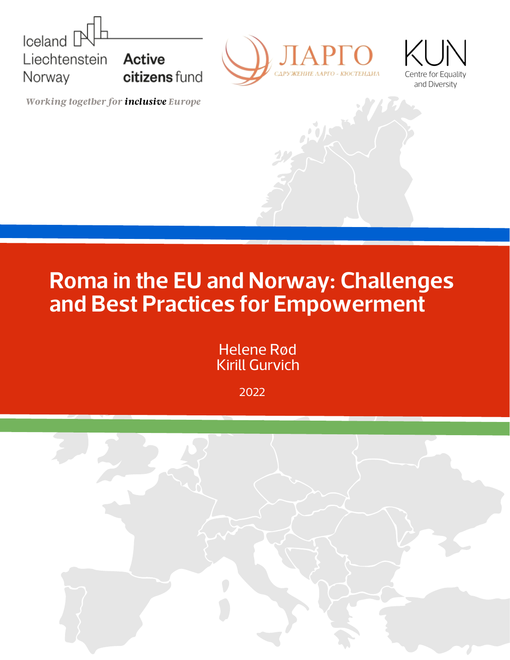





*Working together for inclusive Europe*

## **Roma in the EU and Norway: Challenges and Best Practices for Empowerment**

Helene Rød Kirill Gurvich

2022

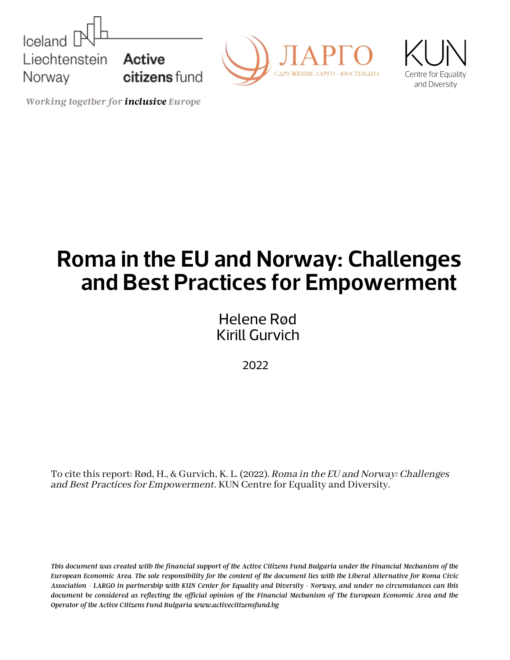





*Working together for inclusive Europe*

# **Roma in the EU and Norway: Challenges and Best Practices for Empowerment**

Helene Rød Kirill Gurvich

2022

To cite thisreport: Rød, H., & Gurvich, K. L. (2022). Roma in the EU and Norway: Challenges and Best Practices for Empowerment. KUN Centre for Equality and Diversity.

This document was created with the financial support of the Active Citizens Fund Bulgaria under the Financial Mechanism of the European Economic Area. The sole responsibility for the content of the document lies with the Liberal Alternative for Roma Civic Association - LARGO in partnership with KUN Center for Equality and Diversity - Norway, and under no circumstances can this document be considered as reflecting the official opinion of the Financial Mechanism of The European Economic Area and the *Operator of the Active Citizens Fund Bulgaria www.activecitizensfund.bg*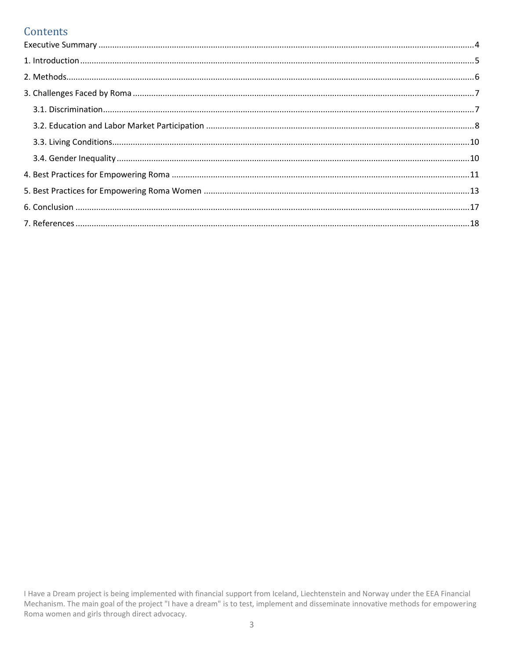## Contents

I Have a Dream project is being implemented with financial support from Iceland, Liechtenstein and Norway under the EEA Financial Mechanism. The main goal of the project "I have a dream" is to test, implement and disseminate innovative methods for empowering Roma women and girls through direct advocacy.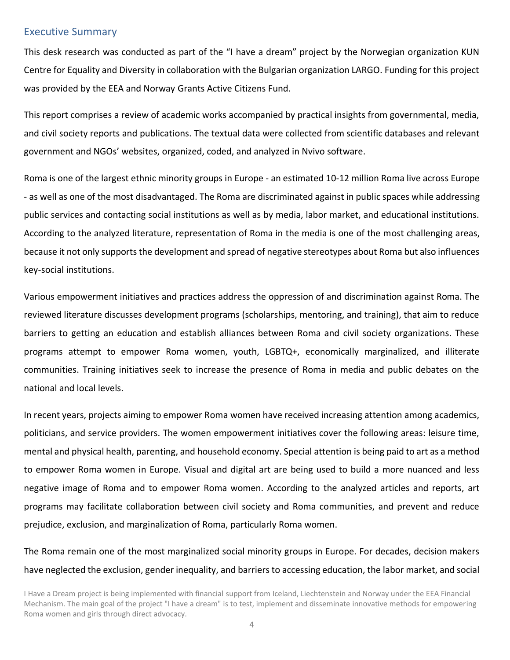#### <span id="page-3-0"></span>Executive Summary

This desk research was conducted as part of the "I have a dream" project by the Norwegian organization KUN Centre for Equality and Diversity in collaboration with the Bulgarian organization LARGO. Funding for this project was provided by the EEA and Norway Grants Active Citizens Fund.

This report comprises a review of academic works accompanied by practical insights from governmental, media, and civil society reports and publications. The textual data were collected from scientific databases and relevant government and NGOs' websites, organized, coded, and analyzed in Nvivo software.

Roma is one of the largest ethnic minority groups in Europe - an estimated 10-12 million Roma live across Europe - as well as one of the most disadvantaged. The Roma are discriminated against in public spaces while addressing public services and contacting social institutions as well as by media, labor market, and educational institutions. According to the analyzed literature, representation of Roma in the media is one of the most challenging areas, because it not only supports the development and spread of negative stereotypes about Roma but also influences key-social institutions.

Various empowerment initiatives and practices address the oppression of and discrimination against Roma. The reviewed literature discusses development programs (scholarships, mentoring, and training), that aim to reduce barriers to getting an education and establish alliances between Roma and civil society organizations. These programs attempt to empower Roma women, youth, LGBTQ+, economically marginalized, and illiterate communities. Training initiatives seek to increase the presence of Roma in media and public debates on the national and local levels.

In recent years, projects aiming to empower Roma women have received increasing attention among academics, politicians, and service providers. The women empowerment initiatives cover the following areas: leisure time, mental and physical health, parenting, and household economy. Special attention is being paid to art as a method to empower Roma women in Europe. Visual and digital art are being used to build a more nuanced and less negative image of Roma and to empower Roma women. According to the analyzed articles and reports, art programs may facilitate collaboration between civil society and Roma communities, and prevent and reduce prejudice, exclusion, and marginalization of Roma, particularly Roma women.

The Roma remain one of the most marginalized social minority groups in Europe. For decades, decision makers have neglected the exclusion, gender inequality, and barriers to accessing education, the labor market, and social

I Have a Dream project is being implemented with financial support from Iceland, Liechtenstein and Norway under the EEA Financial Mechanism. The main goal of the project "I have a dream" is to test, implement and disseminate innovative methods for empowering Roma women and girls through direct advocacy.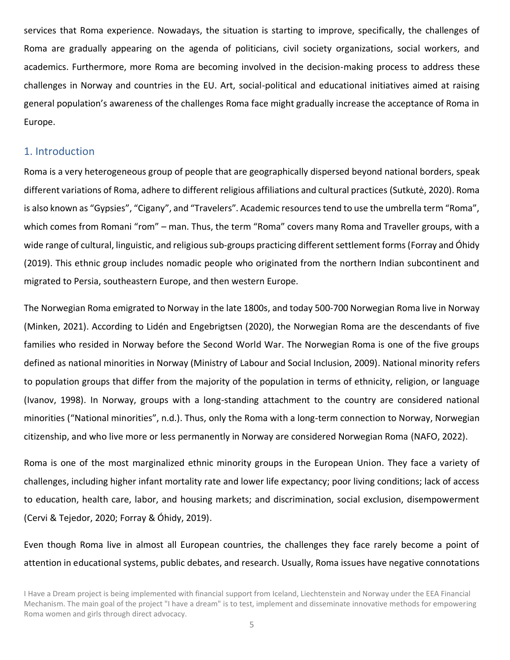services that Roma experience. Nowadays, the situation is starting to improve, specifically, the challenges of Roma are gradually appearing on the agenda of politicians, civil society organizations, social workers, and academics. Furthermore, more Roma are becoming involved in the decision-making process to address these challenges in Norway and countries in the EU. Art, social-political and educational initiatives aimed at raising general population's awareness of the challenges Roma face might gradually increase the acceptance of Roma in Europe.

## <span id="page-4-0"></span>1. Introduction

Roma is a very heterogeneous group of people that are geographically dispersed beyond national borders, speak different variations of Roma, adhere to different religious affiliations and cultural practices (Sutkutė, 2020). Roma is also known as "Gypsies", "Cigany", and "Travelers". Academic resources tend to use the umbrella term "Roma", which comes from Romani "rom" – man. Thus, the term "Roma" covers many Roma and Traveller groups, with a wide range of cultural, linguistic, and religious sub-groups practicing different settlement forms (Forray and Óhidy (2019). This ethnic group includes nomadic people who originated from the northern Indian subcontinent and migrated to Persia, southeastern Europe, and then western Europe.

The Norwegian Roma emigrated to Norway in the late 1800s, and today 500-700 Norwegian Roma live in Norway (Minken, 2021). According to Lidén and Engebrigtsen (2020), the Norwegian Roma are the descendants of five families who resided in Norway before the Second World War. The Norwegian Roma is one of the five groups defined as national minorities in Norway (Ministry of Labour and Social Inclusion, 2009). National minority refers to population groups that differ from the majority of the population in terms of ethnicity, religion, or language (Ivanov, 1998). In Norway, groups with a long-standing attachment to the country are considered national minorities ("National minorities", n.d.). Thus, only the Roma with a long-term connection to Norway, Norwegian citizenship, and who live more or less permanently in Norway are considered Norwegian Roma (NAFO, 2022).

Roma is one of the most marginalized ethnic minority groups in the European Union. They face a variety of challenges, including higher infant mortality rate and lower life expectancy; poor living conditions; lack of access to education, health care, labor, and housing markets; and discrimination, social exclusion, disempowerment (Cervi & Tejedor, 2020; Forray & Óhidy, 2019).

Even though Roma live in almost all European countries, the challenges they face rarely become a point of attention in educational systems, public debates, and research. Usually, Roma issues have negative connotations

I Have a Dream project is being implemented with financial support from Iceland, Liechtenstein and Norway under the EEA Financial Mechanism. The main goal of the project "I have a dream" is to test, implement and disseminate innovative methods for empowering Roma women and girls through direct advocacy.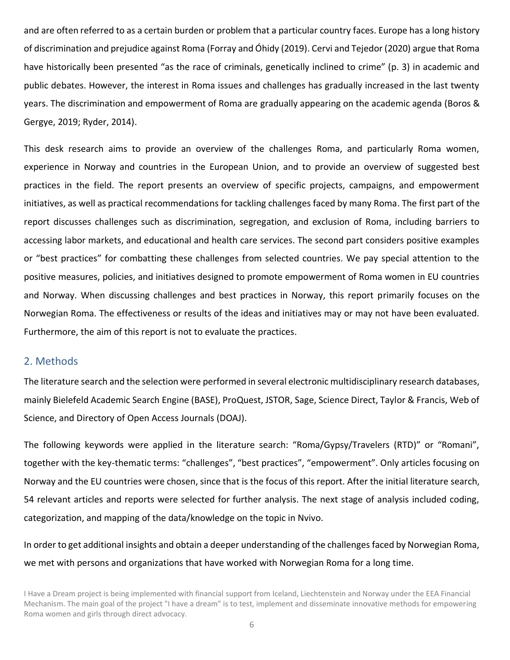and are often referred to as a certain burden or problem that a particular country faces. Europe has a long history of discrimination and prejudice against Roma (Forray and Óhidy (2019). Cervi and Tejedor (2020) argue that Roma have historically been presented "as the race of criminals, genetically inclined to crime" (p. 3) in academic and public debates. However, the interest in Roma issues and challenges has gradually increased in the last twenty years. The discrimination and empowerment of Roma are gradually appearing on the academic agenda (Boros & Gergye, 2019; Ryder, 2014).

This desk research aims to provide an overview of the challenges Roma, and particularly Roma women, experience in Norway and countries in the European Union, and to provide an overview of suggested best practices in the field. The report presents an overview of specific projects, campaigns, and empowerment initiatives, as well as practical recommendations for tackling challenges faced by many Roma. The first part of the report discusses challenges such as discrimination, segregation, and exclusion of Roma, including barriers to accessing labor markets, and educational and health care services. The second part considers positive examples or "best practices" for combatting these challenges from selected countries. We pay special attention to the positive measures, policies, and initiatives designed to promote empowerment of Roma women in EU countries and Norway. When discussing challenges and best practices in Norway, this report primarily focuses on the Norwegian Roma. The effectiveness or results of the ideas and initiatives may or may not have been evaluated. Furthermore, the aim of this report is not to evaluate the practices.

### <span id="page-5-0"></span>2. Methods

The literature search and the selection were performed in several electronic multidisciplinary research databases, mainly Bielefeld Academic Search Engine (BASE), ProQuest, JSTOR, Sage, Science Direct, Taylor & Francis, Web of Science, and Directory of Open Access Journals (DOAJ).

The following keywords were applied in the literature search: "Roma/Gypsy/Travelers (RTD)" or "Romani", together with the key-thematic terms: "challenges", "best practices", "empowerment". Only articles focusing on Norway and the EU countries were chosen, since that is the focus of this report. After the initial literature search, 54 relevant articles and reports were selected for further analysis. The next stage of analysis included coding, categorization, and mapping of the data/knowledge on the topic in Nvivo.

In order to get additional insights and obtain a deeper understanding of the challenges faced by Norwegian Roma, we met with persons and organizations that have worked with Norwegian Roma for a long time.

I Have a Dream project is being implemented with financial support from Iceland, Liechtenstein and Norway under the EEA Financial Mechanism. The main goal of the project "I have a dream" is to test, implement and disseminate innovative methods for empowering Roma women and girls through direct advocacy.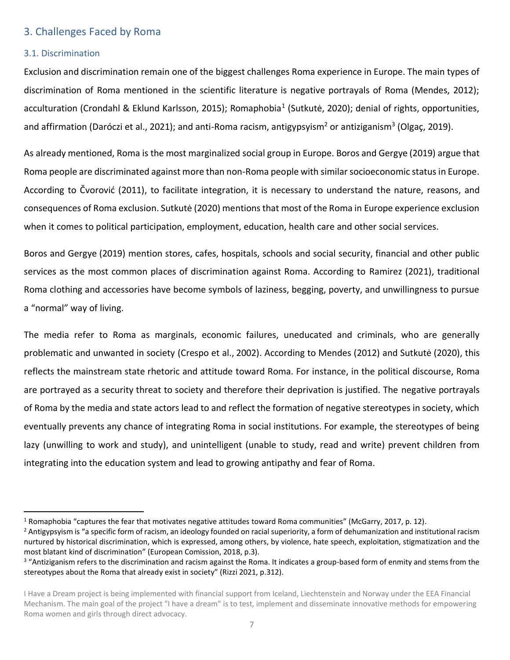## <span id="page-6-0"></span>3. Challenges Faced by Roma

#### <span id="page-6-1"></span>3.1. Discrimination

Exclusion and discrimination remain one of the biggest challenges Roma experience in Europe. The main types of discrimination of Roma mentioned in the scientific literature is negative portrayals of Roma (Mendes, 2012); acculturation (Crondahl & Eklund Karlsson, 2015); Romaphobia<sup>1</sup> (Sutkutė, 2020); denial of rights, opportunities, and affirmation (Daróczi et al., 2021); and anti-Roma racism, antigypsyism<sup>2</sup> or antiziganism<sup>3</sup> (Olgaç, 2019).

As already mentioned, Roma is the most marginalized social group in Europe. Boros and Gergye (2019) argue that Roma people are discriminated against more than non-Roma people with similar socioeconomic status in Europe. According to Čvorović (2011), to facilitate integration, it is necessary to understand the nature, reasons, and consequences of Roma exclusion. Sutkutė (2020) mentions that most of the Roma in Europe experience exclusion when it comes to political participation, employment, education, health care and other social services.

Boros and Gergye (2019) mention stores, cafes, hospitals, schools and social security, financial and other public services as the most common places of discrimination against Roma. According to Ramirez (2021), traditional Roma clothing and accessories have become symbols of laziness, begging, poverty, and unwillingness to pursue a "normal" way of living.

The media refer to Roma as marginals, economic failures, uneducated and criminals, who are generally problematic and unwanted in society (Crespo et al., 2002). According to Mendes (2012) and Sutkutė (2020), this reflects the mainstream state rhetoric and attitude toward Roma. For instance, in the political discourse, Roma are portrayed as a security threat to society and therefore their deprivation is justified. The negative portrayals of Roma by the media and state actors lead to and reflect the formation of negative stereotypes in society, which eventually prevents any chance of integrating Roma in social institutions. For example, the stereotypes of being lazy (unwilling to work and study), and unintelligent (unable to study, read and write) prevent children from integrating into the education system and lead to growing antipathy and fear of Roma.

<sup>&</sup>lt;sup>1</sup> Romaphobia "captures the fear that motivates negative attitudes toward Roma communities" (McGarry, 2017, p. 12).

<sup>&</sup>lt;sup>2</sup> Antigypsyism is "a specific form of racism, an ideology founded on racial superiority, a form of dehumanization and institutional racism nurtured by historical discrimination, which is expressed, among others, by violence, hate speech, exploitation, stigmatization and the most blatant kind of discrimination" (European Comission, 2018, p.3). 3 1. indicates a group-based form of enmity and stems from the same from the manity and stems from the

stereotypes about the Roma that already exist in society" (Rizzi 2021, p.312).

I Have a Dream project is being implemented with financial support from Iceland, Liechtenstein and Norway under the EEA Financial Mechanism. The main goal of the project "I have a dream" is to test, implement and disseminate innovative methods for empowering Roma women and girls through direct advocacy.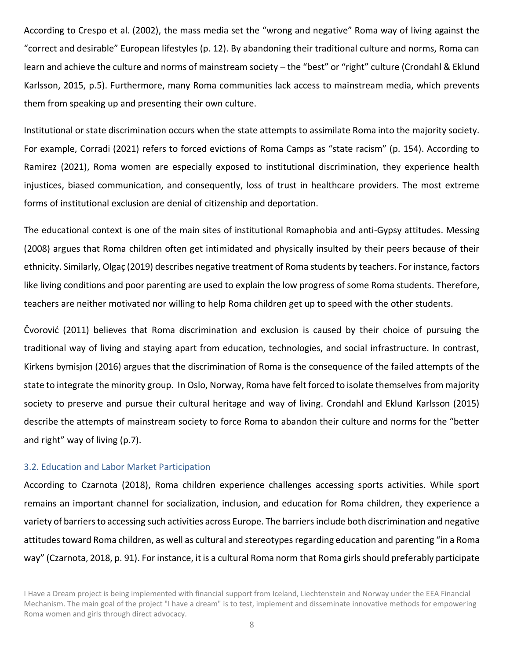According to Crespo et al. (2002), the mass media set the "wrong and negative" Roma way of living against the "correct and desirable" European lifestyles (p. 12). By abandoning their traditional culture and norms, Roma can learn and achieve the culture and norms of mainstream society - the "best" or "right" culture (Crondahl & Eklund Karlsson, 2015, p.5). Furthermore, many Roma communities lack access to mainstream media, which prevents them from speaking up and presenting their own culture.

Institutional or state discrimination occurs when the state attempts to assimilate Roma into the majority society. For example, Corradi (2021) refers to forced evictions of Roma Camps as "state racism" (p. 154). According to Ramirez (2021), Roma women are especially exposed to institutional discrimination, they experience health injustices, biased communication, and consequently, loss of trust in healthcare providers. The most extreme forms of institutional exclusion are denial of citizenship and deportation.

The educational context is one of the main sites of institutional Romaphobia and anti-Gypsy attitudes. Messing (2008) argues that Roma children often get intimidated and physically insulted by their peers because of their ethnicity. Similarly, Olgaç (2019) describes negative treatment of Roma students by teachers. For instance, factors like living conditions and poor parenting are used to explain the low progress of some Roma students. Therefore, teachers are neither motivated nor willing to help Roma children get up to speed with the other students.

Čvorović (2011) believes that Roma discrimination and exclusion is caused by their choice of pursuing the traditional way of living and staying apart from education, technologies, and social infrastructure. In contrast, Kirkens bymisjon (2016) argues that the discrimination of Roma is the consequence of the failed attempts of the state to integrate the minority group. In Oslo, Norway, Roma have felt forced to isolate themselves from majority society to preserve and pursue their cultural heritage and way of living. Crondahl and Eklund Karlsson (2015) describe the attempts of mainstream society to force Roma to abandon their culture and norms for the "better and right" way of living (p.7).

#### <span id="page-7-0"></span>3.2. Education and Labor Market Participation

According to Czarnota (2018), Roma children experience challenges accessing sports activities. While sport remains an important channel for socialization, inclusion, and education for Roma children, they experience a variety of barriers to accessing such activities across Europe. The barriers include both discrimination and negative attitudes toward Roma children, as well as cultural and stereotypes regarding education and parenting "in a Roma way" (Czarnota, 2018, p. 91). For instance, it is a cultural Roma norm that Roma girls should preferably participate

I Have a Dream project is being implemented with financial support from Iceland, Liechtenstein and Norway under the EEA Financial Mechanism. The main goal of the project "I have a dream" is to test, implement and disseminate innovative methods for empowering Roma women and girls through direct advocacy.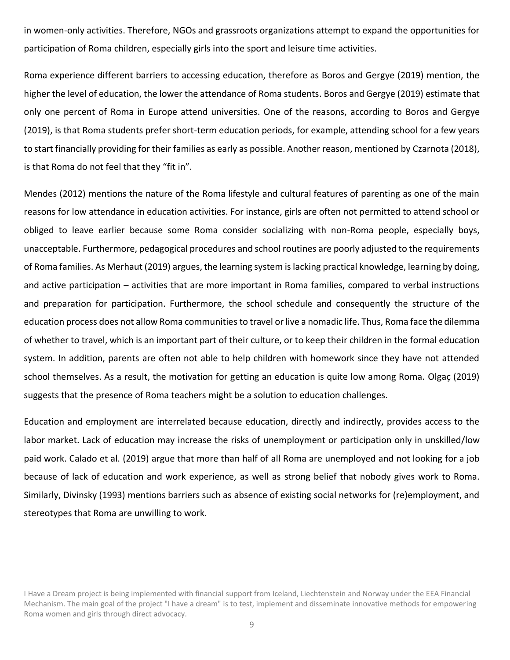in women-only activities. Therefore, NGOs and grassroots organizations attempt to expand the opportunities for participation of Roma children, especially girls into the sport and leisure time activities.

Roma experience different barriers to accessing education, therefore as Boros and Gergye (2019) mention, the higher the level of education, the lower the attendance of Roma students. Boros and Gergye (2019) estimate that only one percent of Roma in Europe attend universities. One of the reasons, according to Boros and Gergye (2019), is that Roma students prefer short-term education periods, for example, attending school for a few years to start financially providing for their families as early as possible. Another reason, mentioned by Czarnota (2018), is that Roma do not feel that they "fit in".

Mendes (2012) mentions the nature of the Roma lifestyle and cultural features of parenting as one of the main reasons for low attendance in education activities. For instance, girls are often not permitted to attend school or obliged to leave earlier because some Roma consider socializing with non-Roma people, especially boys, unacceptable. Furthermore, pedagogical procedures and school routines are poorly adjusted to the requirements of Roma families. As Merhaut (2019) argues, the learning system is lacking practical knowledge, learning by doing, and active participation  $-$  activities that are more important in Roma families, compared to verbal instructions and preparation for participation. Furthermore, the school schedule and consequently the structure of the education process does not allow Roma communities to travel or live a nomadic life. Thus, Roma face the dilemma of whether to travel, which is an important part of their culture, or to keep their children in the formal education system. In addition, parents are often not able to help children with homework since they have not attended school themselves. As a result, the motivation for getting an education is quite low among Roma. Olgaç (2019) suggests that the presence of Roma teachers might be a solution to education challenges.

Education and employment are interrelated because education, directly and indirectly, provides access to the labor market. Lack of education may increase the risks of unemployment or participation only in unskilled/low paid work. Calado et al. (2019) argue that more than half of all Roma are unemployed and not looking for a job because of lack of education and work experience, as well as strong belief that nobody gives work to Roma. Similarly, Divinsky (1993) mentions barriers such as absence of existing social networks for (re)employment, and stereotypes that Roma are unwilling to work.

I Have a Dream project is being implemented with financial support from Iceland, Liechtenstein and Norway under the EEA Financial Mechanism. The main goal of the project "I have a dream" is to test, implement and disseminate innovative methods for empowering Roma women and girls through direct advocacy.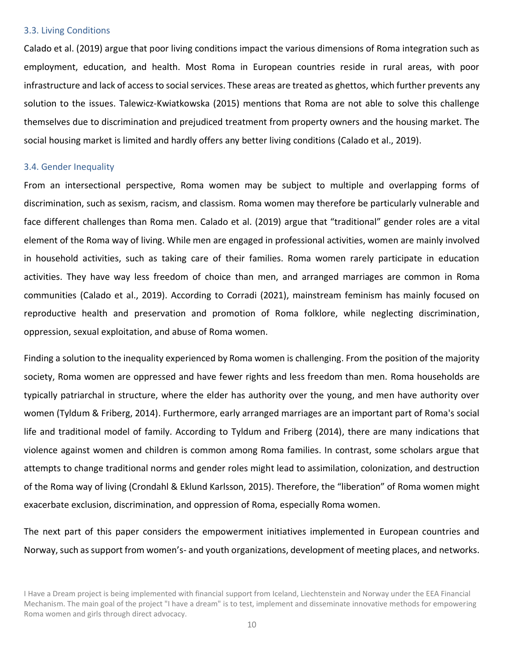#### <span id="page-9-0"></span>3.3. Living Conditions

Calado et al. (2019) argue that poor living conditions impact the various dimensions of Roma integration such as employment, education, and health. Most Roma in European countries reside in rural areas, with poor infrastructure and lack of access to social services. These areas are treated as ghettos, which further prevents any solution to the issues. Talewicz-Kwiatkowska (2015) mentions that Roma are not able to solve this challenge themselves due to discrimination and prejudiced treatment from property owners and the housing market. The social housing market is limited and hardly offers any better living conditions (Calado et al., 2019).

#### <span id="page-9-1"></span>3.4. Gender Inequality

From an intersectional perspective, Roma women may be subject to multiple and overlapping forms of discrimination, such as sexism, racism, and classism. Roma women may therefore be particularly vulnerable and face different challenges than Roma men. Calado et al. (2019) argue that "traditional" gender roles are a vital element of the Roma way of living. While men are engaged in professional activities, women are mainly involved in household activities, such as taking care of their families. Roma women rarely participate in education activities. They have way less freedom of choice than men, and arranged marriages are common in Roma communities (Calado et al., 2019). According to Corradi (2021), mainstream feminism has mainly focused on reproductive health and preservation and promotion of Roma folklore, while neglecting discrimination, oppression, sexual exploitation, and abuse of Roma women.

Finding a solution to the inequality experienced by Roma women is challenging. From the position of the majority society, Roma women are oppressed and have fewer rights and less freedom than men. Roma households are typically patriarchal in structure, where the elder has authority over the young, and men have authority over women (Tyldum & Friberg, 2014). Furthermore, early arranged marriages are an important part of Roma's social life and traditional model of family. According to Tyldum and Friberg (2014), there are many indications that violence against women and children is common among Roma families. In contrast, some scholars argue that attempts to change traditional norms and gender roles might lead to assimilation, colonization, and destruction of the Roma way of living (Crondahl & Eklund Karlsson, 2015). Therefore, the "liberation" of Roma women might exacerbate exclusion, discrimination, and oppression of Roma, especially Roma women.

The next part of this paper considers the empowerment initiatives implemented in European countries and Norway, such as support from women's- and youth organizations, development of meeting places, and networks.

I Have a Dream project is being implemented with financial support from Iceland, Liechtenstein and Norway under the EEA Financial Mechanism. The main goal of the project "I have a dream" is to test, implement and disseminate innovative methods for empowering Roma women and girls through direct advocacy.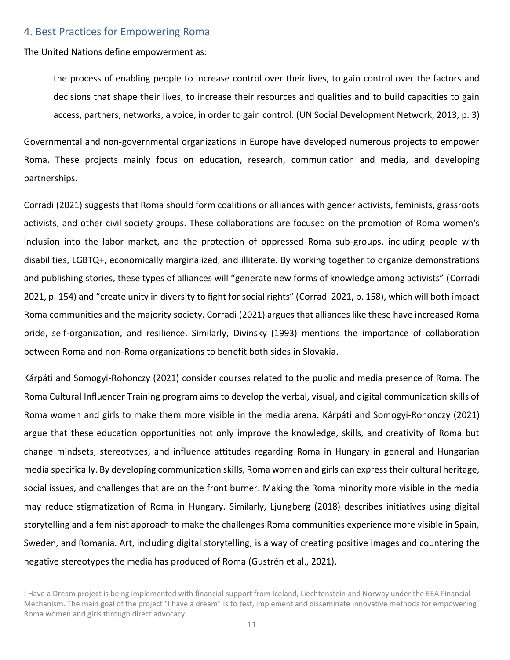#### <span id="page-10-0"></span>4. Best Practices for Empowering Roma

The United Nations define empowerment as:

the process of enabling people to increase control over their lives, to gain control over the factors and decisions that shape their lives, to increase their resources and qualities and to build capacities to gain access, partners, networks, a voice, in order to gain control. (UN Social Development Network, 2013, p. 3)

Governmental and non-governmental organizations in Europe have developed numerous projects to empower Roma. These projects mainly focus on education, research, communication and media, and developing partnerships.

Corradi (2021) suggests that Roma should form coalitions or alliances with gender activists, feminists, grassroots activists, and other civil society groups. These collaborations are focused on the promotion of Roma women's inclusion into the labor market, and the protection of oppressed Roma sub-groups, including people with disabilities, LGBTQ+, economically marginalized, and illiterate. By working together to organize demonstrations and publishing stories, these types of alliances will "generate new forms of knowledge among activists" (Corradi 2021, p. 154) and "create unity in diversity to fight for social rights" (Corradi 2021, p. 158), which will both impact Roma communities and the majority society. Corradi (2021) argues that alliances like these have increased Roma pride, self-organization, and resilience. Similarly, Divinsky (1993) mentions the importance of collaboration between Roma and non-Roma organizations to benefit both sides in Slovakia.

Kárpáti and Somogyi-Rohonczy (2021) consider courses related to the public and media presence of Roma. The Roma Cultural Influencer Training program aims to develop the verbal, visual, and digital communication skills of Roma women and girls to make them more visible in the media arena. Kárpáti and Somogyi-Rohonczy (2021) argue that these education opportunities not only improve the knowledge, skills, and creativity of Roma but change mindsets, stereotypes, and influence attitudes regarding Roma in Hungary in general and Hungarian media specifically. By developing communication skills, Roma women and girls can express their cultural heritage, social issues, and challenges that are on the front burner. Making the Roma minority more visible in the media may reduce stigmatization of Roma in Hungary. Similarly, Ljungberg (2018) describes initiatives using digital storytelling and a feminist approach to make the challenges Roma communities experience more visible in Spain, Sweden, and Romania. Art, including digital storytelling, is a way of creating positive images and countering the negative stereotypes the media has produced of Roma (Gustrén et al., 2021).

I Have a Dream project is being implemented with financial support from Iceland, Liechtenstein and Norway under the EEA Financial Mechanism. The main goal of the project "I have a dream" is to test, implement and disseminate innovative methods for empowering Roma women and girls through direct advocacy.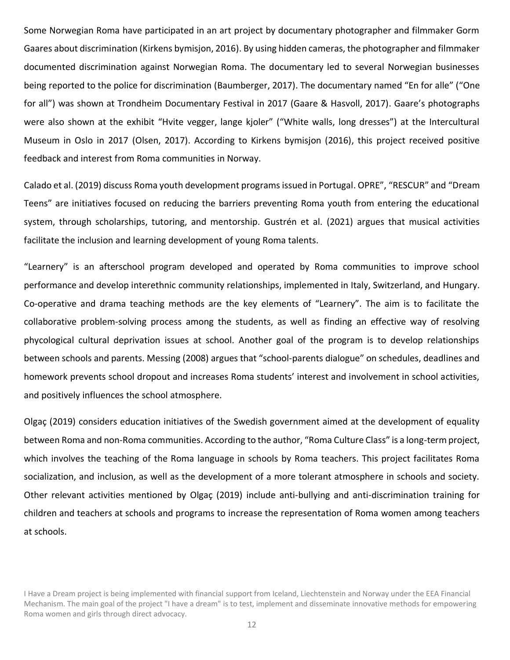Some Norwegian Roma have participated in an art project by documentary photographer and filmmaker Gorm Gaares about discrimination (Kirkens bymisjon, 2016). By using hidden cameras, the photographer and filmmaker documented discrimination against Norwegian Roma. The documentary led to several Norwegian businesses being reported to the police for discrimination (Baumberger, 2017). The documentary named "En for alle" ("One for all") was shown at Trondheim Documentary Festival in 2017 (Gaare & Hasvoll, 2017). Gaare's photographs were also shown at the exhibit "Hvite vegger, lange kjoler" ("White walls, long dresses") at the Intercultural Museum in Oslo in 2017 (Olsen, 2017). According to Kirkens bymisjon (2016), this project received positive feedback and interest from Roma communities in Norway.

Calado et al. (2019) discuss Roma youth development programs issued in Portugal. OPRE", "RESCUR" and "Dream Teens" are initiatives focused on reducing the barriers preventing Roma youth from entering the educational system, through scholarships, tutoring, and mentorship. Gustrén et al. (2021) argues that musical activities facilitate the inclusion and learning development of young Roma talents.

"Learnery" is an afterschool program developed and operated by Roma communities to improve school performance and develop interethnic community relationships, implemented in Italy, Switzerland, and Hungary. Co-operative and drama teaching methods are the key elements of "Learnery". The aim is to facilitate the collaborative problem-solving process among the students, as well as finding an effective way of resolving phycological cultural deprivation issues at school. Another goal of the program is to develop relationships between schools and parents. Messing (2008) argues that "school-parents dialogue" on schedules, deadlines and homework prevents school dropout and increases Roma students' interest and involvement in school activities, and positively influences the school atmosphere.

Olgaç (2019) considers education initiatives of the Swedish government aimed at the development of equality between Roma and non-Roma communities. According to the author, "Roma Culture Class" is a long-term project, which involves the teaching of the Roma language in schools by Roma teachers. This project facilitates Roma socialization, and inclusion, as well as the development of a more tolerant atmosphere in schools and society. Other relevant activities mentioned by Olgaç (2019) include anti-bullying and anti-discrimination training for children and teachers at schools and programs to increase the representation of Roma women among teachers at schools.

I Have a Dream project is being implemented with financial support from Iceland, Liechtenstein and Norway under the EEA Financial Mechanism. The main goal of the project "I have a dream" is to test, implement and disseminate innovative methods for empowering Roma women and girls through direct advocacy.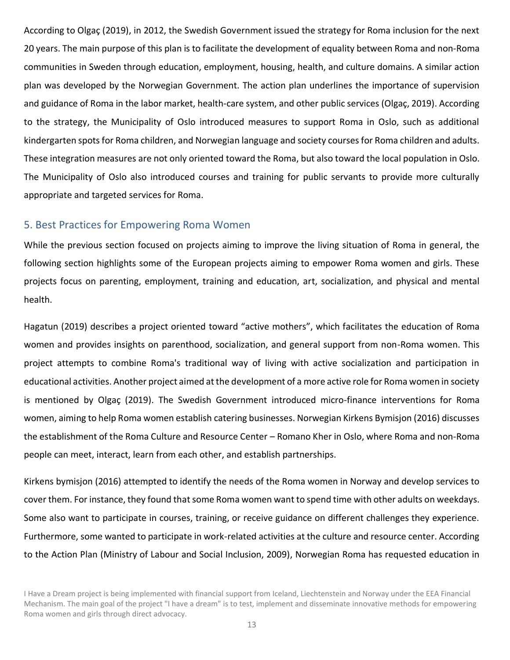According to Olgaç (2019), in 2012, the Swedish Government issued the strategy for Roma inclusion for the next 20 years. The main purpose of this plan is to facilitate the development of equality between Roma and non-Roma communities in Sweden through education, employment, housing, health, and culture domains. A similar action plan was developed by the Norwegian Government. The action plan underlines the importance of supervision and guidance of Roma in the labor market, health-care system, and other public services (Olgaç, 2019). According to the strategy, the Municipality of Oslo introduced measures to support Roma in Oslo, such as additional kindergarten spots for Roma children, and Norwegian language and society courses for Roma children and adults. These integration measures are not only oriented toward the Roma, but also toward the local population in Oslo. The Municipality of Oslo also introduced courses and training for public servants to provide more culturally appropriate and targeted services for Roma.

### <span id="page-12-0"></span>5. Best Practices for Empowering Roma Women

While the previous section focused on projects aiming to improve the living situation of Roma in general, the following section highlights some of the European projects aiming to empower Roma women and girls. These projects focus on parenting, employment, training and education, art, socialization, and physical and mental health.

Hagatun (2019) describes a project oriented toward "active mothers", which facilitates the education of Roma women and provides insights on parenthood, socialization, and general support from non-Roma women. This project attempts to combine Roma's traditional way of living with active socialization and participation in educational activities. Another project aimed at the development of a more active role for Roma women in society is mentioned by Olgaç (2019). The Swedish Government introduced micro-finance interventions for Roma women, aiming to help Roma women establish catering businesses. Norwegian Kirkens Bymisjon (2016) discusses the establishment of the Roma Culture and Resource Center - Romano Kher in Oslo, where Roma and non-Roma people can meet, interact, learn from each other, and establish partnerships.

Kirkens bymisjon (2016) attempted to identify the needs of the Roma women in Norway and develop services to cover them. For instance, they found that some Roma women want to spend time with other adults on weekdays. Some also want to participate in courses, training, or receive guidance on different challenges they experience. Furthermore, some wanted to participate in work-related activities at the culture and resource center. According to the Action Plan (Ministry of Labour and Social Inclusion, 2009), Norwegian Roma has requested education in

I Have a Dream project is being implemented with financial support from Iceland, Liechtenstein and Norway under the EEA Financial Mechanism. The main goal of the project "I have a dream" is to test, implement and disseminate innovative methods for empowering Roma women and girls through direct advocacy.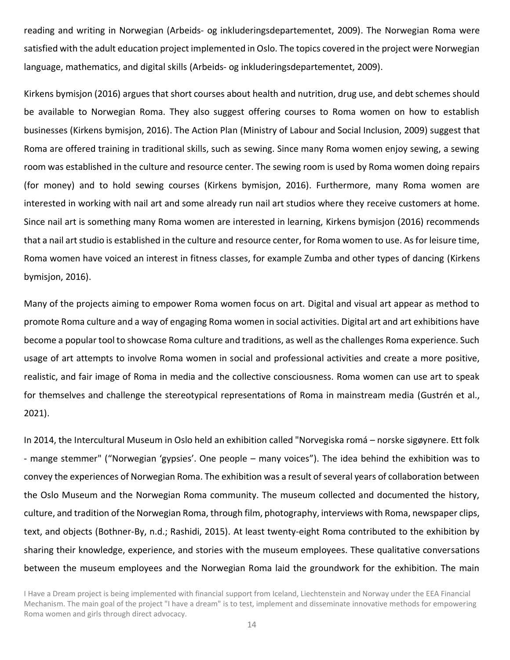reading and writing in Norwegian (Arbeids- og inkluderingsdepartementet, 2009). The Norwegian Roma were satisfied with the adult education project implemented in Oslo. The topics covered in the project were Norwegian language, mathematics, and digital skills (Arbeids- og inkluderingsdepartementet, 2009).

Kirkens bymisjon (2016) argues that short courses about health and nutrition, drug use, and debt schemes should be available to Norwegian Roma. They also suggest offering courses to Roma women on how to establish businesses (Kirkens bymisjon, 2016). The Action Plan (Ministry of Labour and Social Inclusion, 2009) suggest that Roma are offered training in traditional skills, such as sewing. Since many Roma women enjoy sewing, a sewing room was established in the culture and resource center. The sewing room is used by Roma women doing repairs (for money) and to hold sewing courses (Kirkens bymisjon, 2016). Furthermore, many Roma women are interested in working with nail art and some already run nail art studios where they receive customers at home. Since nail art is something many Roma women are interested in learning, Kirkens bymisjon (2016) recommends that a nail art studio is established in the culture and resource center, for Roma women to use. As for leisure time, Roma women have voiced an interest in fitness classes, for example Zumba and other types of dancing (Kirkens bymisjon, 2016).

Many of the projects aiming to empower Roma women focus on art. Digital and visual art appear as method to promote Roma culture and a way of engaging Roma women in social activities. Digital art and art exhibitions have become a popular tool to showcase Roma culture and traditions, as well as the challenges Roma experience. Such usage of art attempts to involve Roma women in social and professional activities and create a more positive, realistic, and fair image of Roma in media and the collective consciousness. Roma women can use art to speak for themselves and challenge the stereotypical representations of Roma in mainstream media (Gustrén et al., 2021).

In 2014, the Intercultural Museum in Oslo held an exhibition called "Norvegiska romá - norske sigøynere. Ett folk - mange stemmer" ("Norwegian 'gypsies'. One people – many voices"). The idea behind the exhibition was to convey the experiences of Norwegian Roma. The exhibition was a result of several years of collaboration between the Oslo Museum and the Norwegian Roma community. The museum collected and documented the history, culture, and tradition of the Norwegian Roma, through film, photography, interviews with Roma, newspaper clips, text, and objects (Bothner-By, n.d.; Rashidi, 2015). At least twenty-eight Roma contributed to the exhibition by sharing their knowledge, experience, and stories with the museum employees. These qualitative conversations between the museum employees and the Norwegian Roma laid the groundwork for the exhibition. The main

I Have a Dream project is being implemented with financial support from Iceland, Liechtenstein and Norway under the EEA Financial Mechanism. The main goal of the project "I have a dream" is to test, implement and disseminate innovative methods for empowering Roma women and girls through direct advocacy.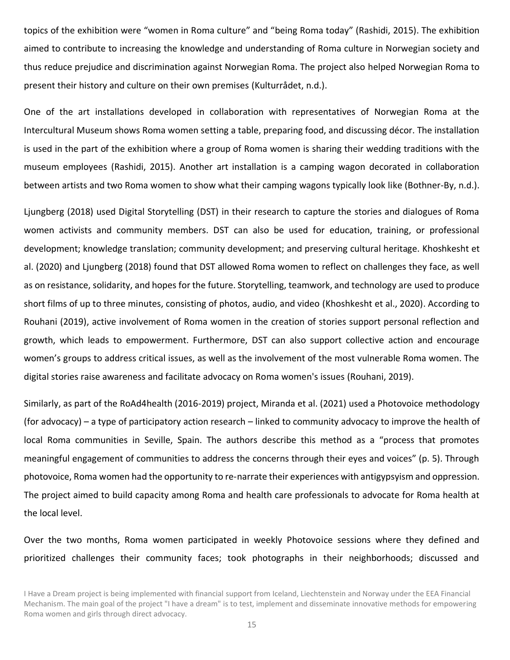topics of the exhibition were "women in Roma culture" and "being Roma today" (Rashidi, 2015). The exhibition aimed to contribute to increasing the knowledge and understanding of Roma culture in Norwegian society and thus reduce prejudice and discrimination against Norwegian Roma. The project also helped Norwegian Roma to present their history and culture on their own premises (Kulturrådet, n.d.).

One of the art installations developed in collaboration with representatives of Norwegian Roma at the Intercultural Museum shows Roma women setting a table, preparing food, and discussing décor. The installation is used in the part of the exhibition where a group of Roma women is sharing their wedding traditions with the museum employees (Rashidi, 2015). Another art installation is a camping wagon decorated in collaboration between artists and two Roma women to show what their camping wagons typically look like (Bothner-By, n.d.).

Ljungberg (2018) used Digital Storytelling (DST) in their research to capture the stories and dialogues of Roma women activists and community members. DST can also be used for education, training, or professional development; knowledge translation; community development; and preserving cultural heritage. Khoshkesht et al. (2020) and Ljungberg (2018) found that DST allowed Roma women to reflect on challenges they face, as well as on resistance, solidarity, and hopes for the future. Storytelling, teamwork, and technology are used to produce short films of up to three minutes, consisting of photos, audio, and video (Khoshkesht et al., 2020). According to Rouhani (2019), active involvement of Roma women in the creation of stories support personal reflection and growth, which leads to empowerment. Furthermore, DST can also support collective action and encourage women's groups to address critical issues, as well as the involvement of the most vulnerable Roma women. The digital stories raise awareness and facilitate advocacy on Roma women's issues (Rouhani, 2019).

Similarly, as part of the RoAd4health (2016-2019) project, Miranda et al. (2021) used a Photovoice methodology (for advocacy) – a type of participatory action research – linked to community advocacy to improve the health of local Roma communities in Seville, Spain. The authors describe this method as a "process that promotes meaningful engagement of communities to address the concerns through their eyes and voices" (p. 5). Through photovoice, Roma women had the opportunity to re-narrate their experiences with antigypsyism and oppression. The project aimed to build capacity among Roma and health care professionals to advocate for Roma health at the local level.

Over the two months, Roma women participated in weekly Photovoice sessions where they defined and prioritized challenges their community faces; took photographs in their neighborhoods; discussed and

I Have a Dream project is being implemented with financial support from Iceland, Liechtenstein and Norway under the EEA Financial Mechanism. The main goal of the project "I have a dream" is to test, implement and disseminate innovative methods for empowering Roma women and girls through direct advocacy.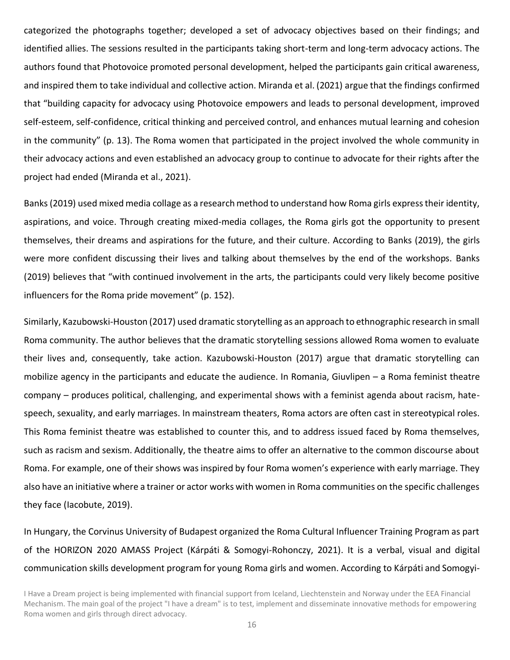categorized the photographs together; developed a set of advocacy objectives based on their findings; and identified allies. The sessions resulted in the participants taking short-term and long-term advocacy actions. The authors found that Photovoice promoted personal development, helped the participants gain critical awareness, and inspired them to take individual and collective action. Miranda et al. (2021) argue that the findings confirmed that "building capacity for advocacy using Photovoice empowers and leads to personal development, improved self-esteem, self-confidence, critical thinking and perceived control, and enhances mutual learning and cohesion in the community" (p. 13). The Roma women that participated in the project involved the whole community in their advocacy actions and even established an advocacy group to continue to advocate for their rights after the project had ended (Miranda et al., 2021).

Banks (2019) used mixed media collage as a research method to understand how Roma girls express their identity, aspirations, and voice. Through creating mixed-media collages, the Roma girls got the opportunity to present themselves, their dreams and aspirations for the future, and their culture. According to Banks (2019), the girls were more confident discussing their lives and talking about themselves by the end of the workshops. Banks (2019) believes that "with continued involvement in the arts, the participants could very likely become positive influencers for the Roma pride movement" (p. 152).

Similarly, Kazubowski-Houston (2017) used dramatic storytelling as an approach to ethnographic research in small Roma community. The author believes that the dramatic storytelling sessions allowed Roma women to evaluate their lives and, consequently, take action. Kazubowski-Houston (2017) argue that dramatic storytelling can mobilize agency in the participants and educate the audience. In Romania, Giuvlipen – a Roma feminist theatre company – produces political, challenging, and experimental shows with a feminist agenda about racism, hatespeech, sexuality, and early marriages. In mainstream theaters, Roma actors are often cast in stereotypical roles. This Roma feminist theatre was established to counter this, and to address issued faced by Roma themselves, such as racism and sexism. Additionally, the theatre aims to offer an alternative to the common discourse about Roma. For example, one of their shows was inspired by four Roma women's experience with early marriage. They also have an initiative where a trainer or actor works with women in Roma communities on the specific challenges they face (Iacobute, 2019).

In Hungary, the Corvinus University of Budapest organized the Roma Cultural Influencer Training Program as part of the HORIZON 2020 AMASS Project (Kárpáti & Somogyi-Rohonczy, 2021). It is a verbal, visual and digital communication skills development program for young Roma girls and women. According to Kárpáti and Somogyi-

I Have a Dream project is being implemented with financial support from Iceland, Liechtenstein and Norway under the EEA Financial Mechanism. The main goal of the project "I have a dream" is to test, implement and disseminate innovative methods for empowering Roma women and girls through direct advocacy.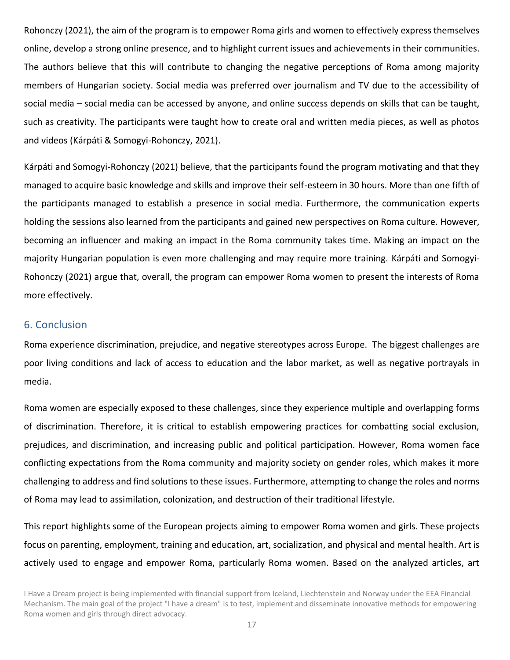Rohonczy (2021), the aim of the program is to empower Roma girls and women to effectively express themselves online, develop a strong online presence, and to highlight current issues and achievements in their communities. The authors believe that this will contribute to changing the negative perceptions of Roma among majority members of Hungarian society. Social media was preferred over journalism and TV due to the accessibility of social media – social media can be accessed by anyone, and online success depends on skills that can be taught, such as creativity. The participants were taught how to create oral and written media pieces, as well as photos and videos (Kárpáti & Somogyi-Rohonczy, 2021).

Kárpáti and Somogyi-Rohonczy (2021) believe, that the participants found the program motivating and that they managed to acquire basic knowledge and skills and improve their self-esteem in 30 hours. More than one fifth of the participants managed to establish a presence in social media. Furthermore, the communication experts holding the sessions also learned from the participants and gained new perspectives on Roma culture. However, becoming an influencer and making an impact in the Roma community takes time. Making an impact on the majority Hungarian population is even more challenging and may require more training. Kárpáti and Somogyi-Rohonczy (2021) argue that, overall, the program can empower Roma women to present the interests of Roma more effectively.

#### <span id="page-16-0"></span>6. Conclusion

Roma experience discrimination, prejudice, and negative stereotypes across Europe. The biggest challenges are poor living conditions and lack of access to education and the labor market, as well as negative portrayals in media.

Roma women are especially exposed to these challenges, since they experience multiple and overlapping forms of discrimination. Therefore, it is critical to establish empowering practices for combatting social exclusion, prejudices, and discrimination, and increasing public and political participation. However, Roma women face conflicting expectations from the Roma community and majority society on gender roles, which makes it more challenging to address and find solutions to these issues. Furthermore, attempting to change the roles and norms of Roma may lead to assimilation, colonization, and destruction of their traditional lifestyle.

This report highlights some of the European projects aiming to empower Roma women and girls. These projects focus on parenting, employment, training and education, art, socialization, and physical and mental health. Art is actively used to engage and empower Roma, particularly Roma women. Based on the analyzed articles, art

I Have a Dream project is being implemented with financial support from Iceland, Liechtenstein and Norway under the EEA Financial Mechanism. The main goal of the project "I have a dream" is to test, implement and disseminate innovative methods for empowering Roma women and girls through direct advocacy.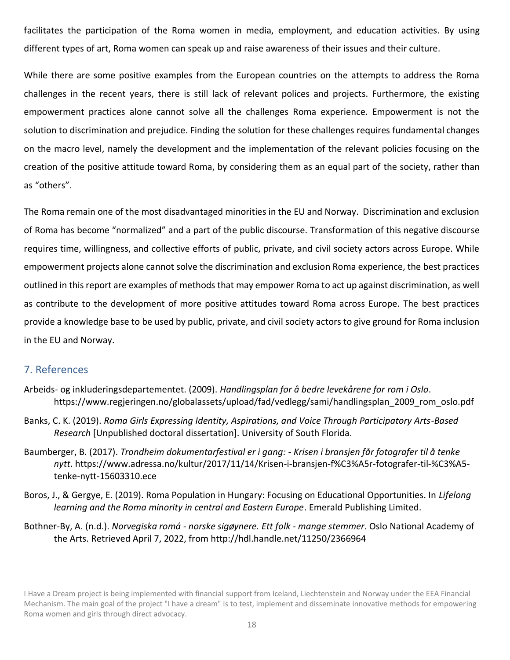facilitates the participation of the Roma women in media, employment, and education activities. By using different types of art, Roma women can speak up and raise awareness of their issues and their culture.

While there are some positive examples from the European countries on the attempts to address the Roma challenges in the recent years, there is still lack of relevant polices and projects. Furthermore, the existing empowerment practices alone cannot solve all the challenges Roma experience. Empowerment is not the solution to discrimination and prejudice. Finding the solution for these challenges requires fundamental changes on the macro level, namely the development and the implementation of the relevant policies focusing on the creation of the positive attitude toward Roma, by considering them as an equal part of the society, rather than as "others".

The Roma remain one of the most disadvantaged minorities in the EU and Norway. Discrimination and exclusion of Roma has become "normalized" and a part of the public discourse. Transformation of this negative discourse requires time, willingness, and collective efforts of public, private, and civil society actors across Europe. While empowerment projects alone cannot solve the discrimination and exclusion Roma experience, the best practices outlined in this report are examples of methods that may empower Roma to act up against discrimination, as well as contribute to the development of more positive attitudes toward Roma across Europe. The best practices provide a knowledge base to be used by public, private, and civil society actors to give ground for Roma inclusion in the EU and Norway.

## <span id="page-17-0"></span>7. References

- Arbeids- og inkluderingsdepartementet. (2009). *Handlingsplan for å bedre levekårene for rom i Oslo*. https://www.regjeringen.no/globalassets/upload/fad/vedlegg/sami/handlingsplan\_2009\_rom\_oslo.pdf
- Banks, C. K. (2019). *Roma Girls Expressing Identity, Aspirations, and Voice Through Participatory Arts-Based Research* [Unpublished doctoral dissertation]. University of South Florida.
- Baumberger, B. (2017). *Trondheim dokumentarfestival er i gang: - Krisen i bransjen får fotografer til å tenke nytt*. https://www.adressa.no/kultur/2017/11/14/Krisen-i-bransjen-f%C3%A5r-fotografer-til-%C3%A5 tenke-nytt-15603310.ece
- Boros, J., & Gergye, E. (2019). Roma Population in Hungary: Focusing on Educational Opportunities. In *Lifelong learning and the Roma minority in central and Eastern Europe*. Emerald Publishing Limited.
- Bothner-By, A. (n.d.). *Norvegiska romá - norske sigøynere. Ett folk - mange stemmer*. Oslo National Academy of the Arts. Retrieved April 7, 2022, from http://hdl.handle.net/11250/2366964

I Have a Dream project is being implemented with financial support from Iceland, Liechtenstein and Norway under the EEA Financial Mechanism. The main goal of the project "I have a dream" is to test, implement and disseminate innovative methods for empowering Roma women and girls through direct advocacy.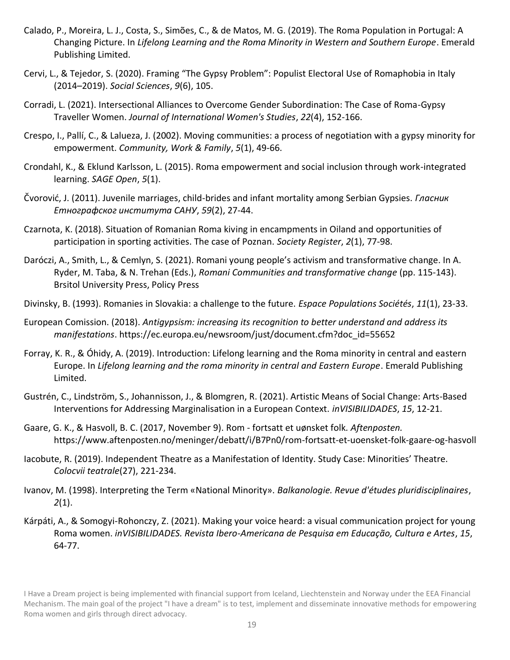- Calado, P., Moreira, L. J., Costa, S., Simões, C., & de Matos, M. G. (2019). The Roma Population in Portugal: A Changing Picture. In *Lifelong Learning and the Roma Minority in Western and Southern Europe*. Emerald Publishing Limited.
- Cervi, L., & Tejedor, S. (2020). Framing "The Gypsy Problem": Populist Electoral Use of Romaphobia in Italy (2014ʹ2019). *Social Sciences*, *9*(6), 105.
- Corradi, L. (2021). Intersectional Alliances to Overcome Gender Subordination: The Case of Roma-Gypsy Traveller Women. *Journal of International Women's Studies*, *22*(4), 152-166.
- Crespo, I., Pallí, C., & Lalueza, J. (2002). Moving communities: a process of negotiation with a gypsy minority for empowerment. *Community, Work & Family*, *5*(1), 49-66.
- Crondahl, K., & Eklund Karlsson, L. (2015). Roma empowerment and social inclusion through work-integrated learning. *SAGE Open*, *5*(1).
- Čvorović, J. (2011). Juvenile marriages, child-brides and infant mortality among Serbian Gypsies. *Гласник ʫ̴̨̡̨̛̛̯̦̬̭̦̭̯̯̱̯̐̌̐̌ˁʤʻ˄*, *59*(2), 27-44.
- Czarnota, K. (2018). Situation of Romanian Roma kiving in encampments in Oiland and opportunities of participation in sporting activities. The case of Poznan. *Society Register*, *2*(1), 77-98.
- Daróczi, A., Smith, L., & Cemlyn, S. (2021). Romani young people's activism and transformative change. In A. Ryder, M. Taba, & N. Trehan (Eds.), *Romani Communities and transformative change* (pp. 115-143). Brsitol University Press, Policy Press
- Divinsky, B. (1993). Romanies in Slovakia: a challenge to the future. *Espace Populations Sociétés*, *11*(1), 23-33.
- European Comission. (2018). *Antigypsism: increasing its recognition to better understand and address its manifestations*. https://ec.europa.eu/newsroom/just/document.cfm?doc\_id=55652
- Forray, K. R., & Óhidy, A. (2019). Introduction: Lifelong learning and the Roma minority in central and eastern Europe. In *Lifelong learning and the roma minority in central and Eastern Europe*. Emerald Publishing Limited.
- Gustrén, C., Lindström, S., Johannisson, J., & Blomgren, R. (2021). Artistic Means of Social Change: Arts-Based Interventions for Addressing Marginalisation in a European Context. *inVISIBILIDADES*, *15*, 12-21.
- Gaare, G. K., & Hasvoll, B. C. (2017, November 9). Rom fortsatt et uønsket folk*. Aftenposten.* https://www.aftenposten.no/meninger/debatt/i/B7Pn0/rom-fortsatt-et-uoensket-folk-gaare-og-hasvoll
- lacobute, R. (2019). Independent Theatre as a Manifestation of Identity. Study Case: Minorities' Theatre. *Colocvii teatrale*(27), 221-234.
- Ivanov, M. (1998). Interpreting the Term «National Minority». *Balkanologie. Revue d'études pluridisciplinaires*, *2*(1).
- Kárpáti, A., & Somogyi-Rohonczy, Z. (2021). Making your voice heard: a visual communication project for young Roma women. *inVISIBILIDADES. Revista Ibero-Americana de Pesquisa em Educação, Cultura e Artes*, *15*, 64-77.

I Have a Dream project is being implemented with financial support from Iceland, Liechtenstein and Norway under the EEA Financial Mechanism. The main goal of the project "I have a dream" is to test, implement and disseminate innovative methods for empowering Roma women and girls through direct advocacy.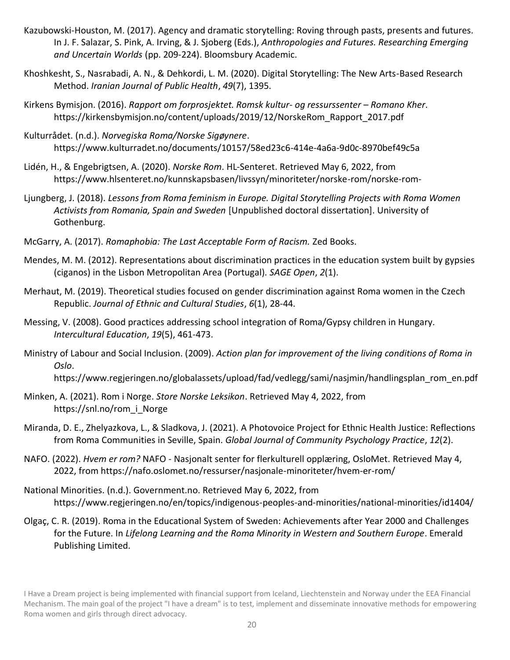- Kazubowski-Houston, M. (2017). Agency and dramatic storytelling: Roving through pasts, presents and futures. In J. F. Salazar, S. Pink, A. Irving, & J. Sjoberg (Eds.), *Anthropologies and Futures. Researching Emerging and Uncertain Worlds* (pp. 209-224). Bloomsbury Academic.
- Khoshkesht, S., Nasrabadi, A. N., & Dehkordi, L. M. (2020). Digital Storytelling: The New Arts-Based Research Method. *Iranian Journal of Public Health*, *49*(7), 1395.
- Kirkens Bymisjon. (2016). *Rapport om forprosjektet. Romsk kultur- og ressurssenter Romano Kher.* https://kirkensbymisjon.no/content/uploads/2019/12/NorskeRom\_Rapport\_2017.pdf
- Kulturrådet. (n.d.). *Norvegiska Roma/Norske Sigøynere*. https://www.kulturradet.no/documents/10157/58ed23c6-414e-4a6a-9d0c-8970bef49c5a
- Lidén, H., & Engebrigtsen, A. (2020). *Norske Rom*. HL-Senteret. Retrieved May 6, 2022, from https://www.hlsenteret.no/kunnskapsbasen/livssyn/minoriteter/norske-rom/norske-rom-
- Ljungberg, J. (2018). *Lessons from Roma feminism in Europe. Digital Storytelling Projects with Roma Women Activists from Romania, Spain and Sweden* [Unpublished doctoral dissertation]. University of Gothenburg.
- McGarry, A. (2017). *Romaphobia: The Last Acceptable Form of Racism.* Zed Books.
- Mendes, M. M. (2012). Representations about discrimination practices in the education system built by gypsies (ciganos) in the Lisbon Metropolitan Area (Portugal). *SAGE Open*, *2*(1).
- Merhaut, M. (2019). Theoretical studies focused on gender discrimination against Roma women in the Czech Republic. *Journal of Ethnic and Cultural Studies*, *6*(1), 28-44.
- Messing, V. (2008). Good practices addressing school integration of Roma/Gypsy children in Hungary. *Intercultural Education*, *19*(5), 461-473.
- Ministry of Labour and Social Inclusion. (2009). *Action plan for improvement of the living conditions of Roma in Oslo*.

https://www.regjeringen.no/globalassets/upload/fad/vedlegg/sami/nasjmin/handlingsplan\_rom\_en.pdf

- Minken, A. (2021). Rom i Norge. *Store Norske Leksikon*. Retrieved May 4, 2022, from https://snl.no/rom\_i\_Norge
- Miranda, D. E., Zhelyazkova, L., & Sladkova, J. (2021). A Photovoice Project for Ethnic Health Justice: Reflections from Roma Communities in Seville, Spain. *Global Journal of Community Psychology Practice*, *12*(2).
- NAFO. (2022). *Hvem er rom?* NAFO Nasjonalt senter for flerkulturell opplæring, OsloMet. Retrieved May 4, 2022, from https://nafo.oslomet.no/ressurser/nasjonale-minoriteter/hvem-er-rom/
- National Minorities. (n.d.). Government.no. Retrieved May 6, 2022, from https://www.regjeringen.no/en/topics/indigenous-peoples-and-minorities/national-minorities/id1404/
- Olgaç, C. R. (2019). Roma in the Educational System of Sweden: Achievements after Year 2000 and Challenges for the Future. In *Lifelong Learning and the Roma Minority in Western and Southern Europe*. Emerald Publishing Limited.

I Have a Dream project is being implemented with financial support from Iceland, Liechtenstein and Norway under the EEA Financial Mechanism. The main goal of the project "I have a dream" is to test, implement and disseminate innovative methods for empowering Roma women and girls through direct advocacy.